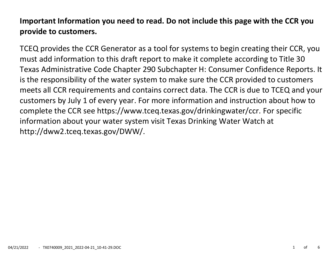# **Important Information you need to read. Do not include this page with the CCR you provide to customers.**

TCEQ provides the CCR Generator as a tool for systems to begin creating their CCR, you must add information to this draft report to make it complete according to Title 30 Texas Administrative Code Chapter 290 Subchapter H: Consumer Confidence Reports. It is the responsibility of the water system to make sure the CCR provided to customers meets all CCR requirements and contains correct data. The CCR is due to TCEQ and your customers by July 1 of every year. For more information and instruction about how to complete the CCR see https://www.tceq.texas.gov/drinkingwater/ccr. For specific information about your water system visit Texas Drinking Water Watch at http://dww2.tceq.texas.gov/DWW/.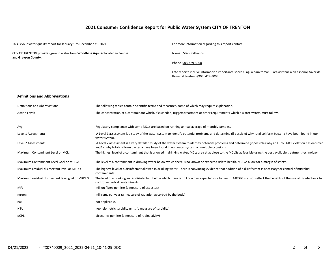# **2021 Consumer Confidence Report for Public Water System CITY OF TRENTON**

This is your water quality report for January 1 to December 31, 2021 For more information regarding this report contact: CITY OF TRENTON provides ground water from **Woodbine Aquifer** located in **Fannin** and **Grayson County**. Name Mark Patterson Phone 903-429-3008 Este reporte incluye información importante sobre el agua para tomar. Para asistencia en español, favor de llamar al telefono (903) 429-3008. **Definitions and Abbreviations** Definitions and Abbreviations The following tables contain scientific terms and measures, some of which may require explanation.

| <b>Action Level:</b>                               | The concentration of a contaminant which, if exceeded, triggers treatment or other requirements which a water system must follow.                                                                                                                                       |
|----------------------------------------------------|-------------------------------------------------------------------------------------------------------------------------------------------------------------------------------------------------------------------------------------------------------------------------|
| Avg:                                               | Regulatory compliance with some MCLs are based on running annual average of monthly samples.                                                                                                                                                                            |
| Level 1 Assessment:                                | A Level 1 assessment is a study of the water system to identify potential problems and determine (if possible) why total coliform bacteria have been found in our<br>water system.                                                                                      |
| Level 2 Assessment:                                | A Level 2 assessment is a very detailed study of the water system to identify potential problems and determine (if possible) why an E. coli MCL violation has occurred<br>and/or why total coliform bacteria have been found in our water system on multiple occasions. |
| Maximum Contaminant Level or MCL:                  | The highest level of a contaminant that is allowed in drinking water. MCLs are set as close to the MCLGs as feasible using the best available treatment technology.                                                                                                     |
| Maximum Contaminant Level Goal or MCLG:            | The level of a contaminant in drinking water below which there is no known or expected risk to health. MCLGs allow for a margin of safety.                                                                                                                              |
| Maximum residual disinfectant level or MRDL:       | The highest level of a disinfectant allowed in drinking water. There is convincing evidence that addition of a disinfectant is necessary for control of microbial<br>contaminants.                                                                                      |
| Maximum residual disinfectant level goal or MRDLG: | The level of a drinking water disinfectant below which there is no known or expected risk to health. MRDLGs do not reflect the benefits of the use of disinfectants to<br>control microbial contaminants.                                                               |
| <b>MFL</b>                                         | million fibers per liter (a measure of asbestos)                                                                                                                                                                                                                        |
| mrem:                                              | millirems per year (a measure of radiation absorbed by the body)                                                                                                                                                                                                        |
| na:                                                | not applicable.                                                                                                                                                                                                                                                         |
| NTU                                                | nephelometric turbidity units (a measure of turbidity)                                                                                                                                                                                                                  |
| pCi/L                                              | picocuries per liter (a measure of radioactivity)                                                                                                                                                                                                                       |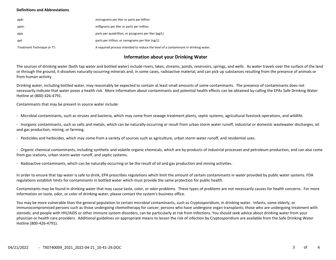### **Definitions and Abbreviations**

| ppb:                       | micrograms per liter or parts per billion                                           |
|----------------------------|-------------------------------------------------------------------------------------|
| ppm:                       | milligrams per liter or parts per million                                           |
| ppq                        | parts per quadrillion, or picograms per liter (pg/L)                                |
| ppt                        | parts per trillion, or nanograms per liter (ng/L)                                   |
| Treatment Technique or TT: | A required process intended to reduce the level of a contaminant in drinking water. |

# **Information about your Drinking Water**

The sources of drinking water (both tap water and bottled water) include rivers, lakes, streams, ponds, reservoirs, springs, and wells. As water travels over the surface of the land or through the ground, it dissolves naturally-occurring minerals and, in some cases, radioactive material, and can pick up substances resulting from the presence of animals or from human activity.

Drinking water, including bottled water, may reasonably be expected to contain at least small amounts of some contaminants. The presence of contaminants does not necessarily indicate that water poses a health risk. More information about contaminants and potential health effects can be obtained by calling the EPAs Safe Drinking Water Hotline at (800) 426-4791.

Contaminants that may be present in source water include:

- Microbial contaminants, such as viruses and bacteria, which may come from sewage treatment plants, septic systems, agricultural livestock operations, and wildlife.

- Inorganic contaminants, such as salts and metals, which can be naturally-occurring or result from urban storm water runoff, industrial or domestic wastewater discharges, oil and gas production, mining, or farming.

- Pesticides and herbicides, which may come from a variety of sources such as agriculture, urban storm water runoff, and residential uses.

- Organic chemical contaminants, including synthetic and volatile organic chemicals, which are by-products of industrial processes and petroleum production, and can also come from gas stations, urban storm water runoff, and septic systems.

- Radioactive contaminants, which can be naturally-occurring or be the result of oil and gas production and mining activities.

In order to ensure that tap water is safe to drink, EPA prescribes regulations which limit the amount of certain contaminants in water provided by public water systems. FDA regulations establish limits for contaminants in bottled water which must provide the same protection for public health.

Contaminants may be found in drinking water that may cause taste, color, or odor problems. These types of problems are not necessarily causes for health concerns. For more information on taste, odor, or color of drinking water, please contact the system's business office.

You may be more vulnerable than the general population to certain microbial contaminants, such as Cryptosporidium, in drinking water. Infants, some elderly, or immunocompromised persons such as those undergoing chemotherapy for cancer; persons who have undergone organ transplants; those who are undergoing treatment with steroids; and people with HIV/AIDS or other immune system disorders, can be particularly at risk from infections. You should seek advice about drinking water from your physician or health care providers. Additional guidelines on appropriate means to lessen the risk of infection by Cryptosporidium are available from the Safe Drinking Water Hotline (800-426-4791).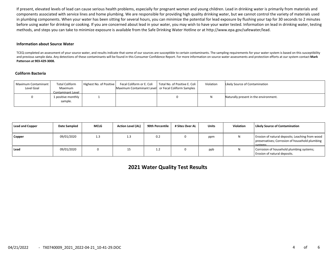If present, elevated levels of lead can cause serious health problems, especially for pregnant women and young children. Lead in drinking water is primarily from materials and components associated with service lines and home plumbing. We are responsible for providing high quality drinking water, but we cannot control the variety of materials used in plumbing components. When your water has been sitting for several hours, you can minimize the potential for lead exposure by flushing your tap for 30 seconds to 2 minutes before using water for drinking or cooking. If you are concerned about lead in your water, you may wish to have your water tested. Information on lead in drinking water, testing methods, and steps you can take to minimize exposure is available from the Safe Drinking Water Hotline or at http://www.epa.gov/safewater/lead.

#### **Information about Source Water**

TCEQ completed an assessment of your source water, and results indicate that some of our sources are susceptible to certain contaminants. The sampling requirements for your water system is based on this susceptibility and previous sample data. Any detections of these contaminants will be found in this Consumer Confidence Report. For more information on source water assessments and protection efforts at our system contact **Mark Patterson at 903-429-3008.**

#### **Coliform Bacteria**

| Maximum Contaminant<br>Level Goal | <b>Total Coliform</b><br>Maximum<br>Contaminant Level | Highest No. of Positive | Maximum Contaminant Level or Fecal Coliform Samples | Fecal Coliform or E. Coli   Total No. of Positive E. Coli | Violation | Likely Source of Contamination        |
|-----------------------------------|-------------------------------------------------------|-------------------------|-----------------------------------------------------|-----------------------------------------------------------|-----------|---------------------------------------|
|                                   | 1 positive monthly<br>sample.                         |                         |                                                     |                                                           |           | Naturally present in the environment. |

| Lead and Copper | Date Sampled | <b>MCLG</b> | <b>Action Level (AL)</b> | 90th Percentile | # Sites Over AL | <b>Units</b> | <b>Violation</b> | Likely Source of Contamination                                                                               |
|-----------------|--------------|-------------|--------------------------|-----------------|-----------------|--------------|------------------|--------------------------------------------------------------------------------------------------------------|
| Copper          | 09/01/2020   | 1.3         | 1.3                      | 0.2             |                 | ppm          |                  | Erosion of natural deposits; Leaching from wood<br>preservatives; Corrosion of household plumbing<br>sustams |
| Lead            | 09/01/2020   |             |                          | ∸∸              |                 | ppb          |                  | Corrosion of household plumbing systems;<br>Erosion of natural deposits.                                     |

**2021 Water Quality Test Results**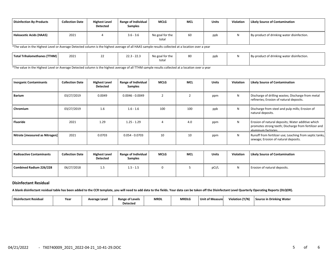| Disinfection By-Products | <b>Collection Date</b> | <b>Highest Level</b><br><b>Detected</b> | <b>Range of Individual</b><br><b>Samples</b> | <b>MCLG</b>              | MCL | <b>Units</b> | <b>Violation</b> | <b>Likely Source of Contamination</b>      |
|--------------------------|------------------------|-----------------------------------------|----------------------------------------------|--------------------------|-----|--------------|------------------|--------------------------------------------|
| Haloacetic Acids (HAA5)  | 2021                   |                                         | $3.6 - 3.6$                                  | No goal for the<br>total | 60  | ppb          |                  | By-product of drinking water disinfection. |

\*The value in the Highest Level or Average Detected column is the highest average of all HAA5 sample results collected at a location over a year

| Total Trihalomethanes (TTHM) | 2021 | $\sim$<br>222<br>- 22.J<br>22.3 | No goal for the | 80 | ppb | By-product of drinking water disinfection. |
|------------------------------|------|---------------------------------|-----------------|----|-----|--------------------------------------------|
|                              |      |                                 | total           |    |     |                                            |

\*The value in the Highest Level or Average Detected column is the highest average of all TTHM sample results collected at a location over a year

| <b>Inorganic Contaminants</b>  | <b>Collection Date</b> | <b>Highest Level</b><br><b>Detected</b> | Range of Individual<br><b>Samples</b> | <b>MCLG</b> | <b>MCL</b> | <b>Units</b> | Violation | <b>Likely Source of Contamination</b>                                                                                            |
|--------------------------------|------------------------|-----------------------------------------|---------------------------------------|-------------|------------|--------------|-----------|----------------------------------------------------------------------------------------------------------------------------------|
| Barium                         | 03/27/2019             | 0.0049                                  | $0.0046 - 0.0049$                     |             |            | ppm          | N         | Discharge of drilling wastes; Discharge from metal<br>refineries; Erosion of natural deposits.                                   |
| Chromium                       | 03/27/2019             | 1.6                                     | $1.6 - 1.6$                           | 100         | 100        | ppb          | N         | Discharge from steel and pulp mills; Erosion of<br>natural deposits.                                                             |
| Fluoride                       | 2021                   | 1.29                                    | $1.25 - 1.29$                         |             | 4.0        | ppm          | N         | Erosion of natural deposits; Water additive which<br>promotes strong teeth; Discharge from fertilizer and<br>aluminum factories. |
| Nitrate [measured as Nitrogen] | 2021                   | 0.0703                                  | $0.054 - 0.0703$                      | 10          | 10         | ppm          | N         | Runoff from fertilizer use; Leaching from septic tanks,<br>sewage; Erosion of natural deposits.                                  |

| Radioactive Contaminants | <b>Collection Date</b> | <b>Highest Level</b><br><b>Detected</b> | Range of Individual<br><b>Samples</b> | <b>MCLG</b> | <b>MCL</b> | Units | <b>Violation</b> | <b>Likely Source of Contamination</b> |
|--------------------------|------------------------|-----------------------------------------|---------------------------------------|-------------|------------|-------|------------------|---------------------------------------|
| Combined Radium 226/228  | 06/27/2018             | 1.5                                     | $1.5 - 1.5$                           |             |            | pCi/L |                  | Erosion of natural deposits.          |

## **Disinfectant Residual**

**A blank disinfectant residual table has been added to the CCR template, you will need to add data to the fields. Your data can be taken off the Disinfectant Level Quarterly Operating Reports (DLQOR).**

| Disinfectant Residual | Year | Average Level | <b>Range of Levels</b><br><b>Detected</b> | <b>MRDL</b> | <b>MRDLG</b> | Unit of Measure | Violation (Y/N) | <b>Source in Drinking Water</b> |
|-----------------------|------|---------------|-------------------------------------------|-------------|--------------|-----------------|-----------------|---------------------------------|
|-----------------------|------|---------------|-------------------------------------------|-------------|--------------|-----------------|-----------------|---------------------------------|